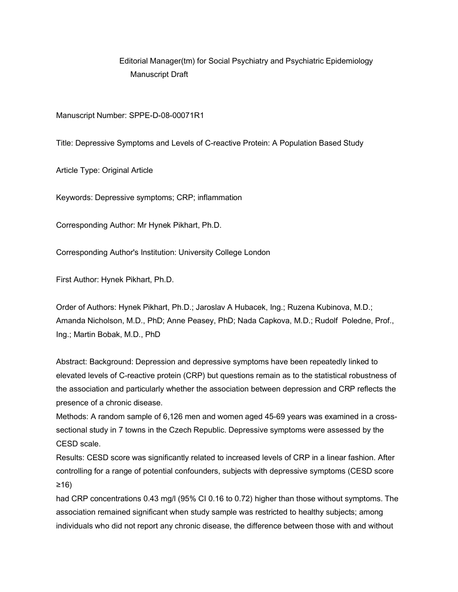# Editorial Manager(tm) for Social Psychiatry and Psychiatric Epidemiology Manuscript Draft

Manuscript Number: SPPE-D-08-00071R1

Title: Depressive Symptoms and Levels of C-reactive Protein: A Population Based Study

Article Type: Original Article

Keywords: Depressive symptoms; CRP; inflammation

Corresponding Author: Mr Hynek Pikhart, Ph.D.

Corresponding Author's Institution: University College London

First Author: Hynek Pikhart, Ph.D.

Order of Authors: Hynek Pikhart, Ph.D.; Jaroslav A Hubacek, Ing.; Ruzena Kubinova, M.D.; Amanda Nicholson, M.D., PhD; Anne Peasey, PhD; Nada Capkova, M.D.; Rudolf Poledne, Prof., Ing.; Martin Bobak, M.D., PhD

Abstract: Background: Depression and depressive symptoms have been repeatedly linked to elevated levels of C-reactive protein (CRP) but questions remain as to the statistical robustness of the association and particularly whether the association between depression and CRP reflects the presence of a chronic disease.

Methods: A random sample of 6,126 men and women aged 45-69 years was examined in a crosssectional study in 7 towns in the Czech Republic. Depressive symptoms were assessed by the CESD scale.

Results: CESD score was significantly related to increased levels of CRP in a linear fashion. After controlling for a range of potential confounders, subjects with depressive symptoms (CESD score ≥16)

had CRP concentrations 0.43 mg/l (95% CI 0.16 to 0.72) higher than those without symptoms. The association remained significant when study sample was restricted to healthy subjects; among individuals who did not report any chronic disease, the difference between those with and without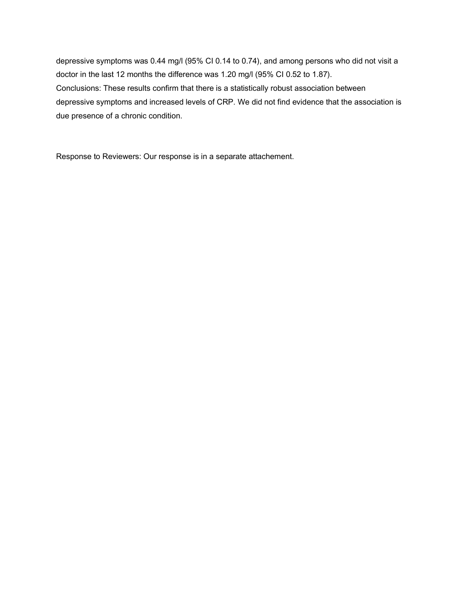depressive symptoms was 0.44 mg/l (95% CI 0.14 to 0.74), and among persons who did not visit a doctor in the last 12 months the difference was 1.20 mg/l (95% CI 0.52 to 1.87). Conclusions: These results confirm that there is a statistically robust association between depressive symptoms and increased levels of CRP. We did not find evidence that the association is due presence of a chronic condition.

Response to Reviewers: Our response is in a separate attachement.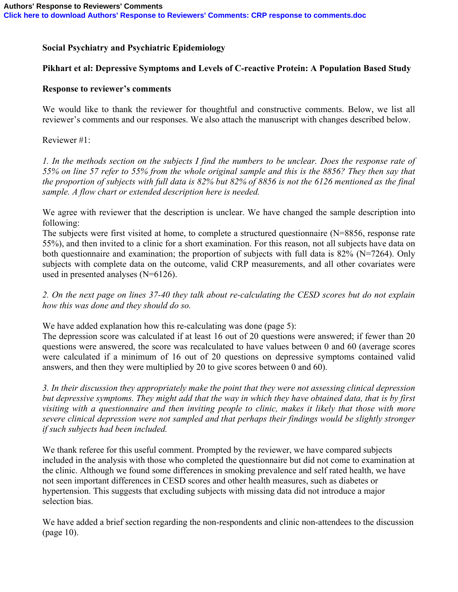## **Social Psychiatry and Psychiatric Epidemiology**

## **Pikhart et al: Depressive Symptoms and Levels of C-reactive Protein: A Population Based Study**

## **Response to reviewer's comments**

We would like to thank the reviewer for thoughtful and constructive comments. Below, we list all reviewer's comments and our responses. We also attach the manuscript with changes described below.

Reviewer #1:

*1. In the methods section on the subjects I find the numbers to be unclear. Does the response rate of 55% on line 57 refer to 55% from the whole original sample and this is the 8856? They then say that the proportion of subjects with full data is 82% but 82% of 8856 is not the 6126 mentioned as the final sample. A flow chart or extended description here is needed.*

We agree with reviewer that the description is unclear. We have changed the sample description into following:

The subjects were first visited at home, to complete a structured questionnaire (N=8856, response rate 55%), and then invited to a clinic for a short examination. For this reason, not all subjects have data on both questionnaire and examination; the proportion of subjects with full data is  $82\%$  (N=7264). Only subjects with complete data on the outcome, valid CRP measurements, and all other covariates were used in presented analyses (N=6126).

*2. On the next page on lines 37-40 they talk about re-calculating the CESD scores but do not explain how this was done and they should do so.*

We have added explanation how this re-calculating was done (page 5):

The depression score was calculated if at least 16 out of 20 questions were answered; if fewer than 20 questions were answered, the score was recalculated to have values between 0 and 60 (average scores were calculated if a minimum of 16 out of 20 questions on depressive symptoms contained valid answers, and then they were multiplied by 20 to give scores between 0 and 60).

*3. In their discussion they appropriately make the point that they were not assessing clinical depression but depressive symptoms. They might add that the way in which they have obtained data, that is by first visiting with a questionnaire and then inviting people to clinic, makes it likely that those with more severe clinical depression were not sampled and that perhaps their findings would be slightly stronger if such subjects had been included.*

We thank referee for this useful comment. Prompted by the reviewer, we have compared subjects included in the analysis with those who completed the questionnaire but did not come to examination at the clinic. Although we found some differences in smoking prevalence and self rated health, we have not seen important differences in CESD scores and other health measures, such as diabetes or hypertension. This suggests that excluding subjects with missing data did not introduce a major selection bias.

We have added a brief section regarding the non-respondents and clinic non-attendees to the discussion (page 10).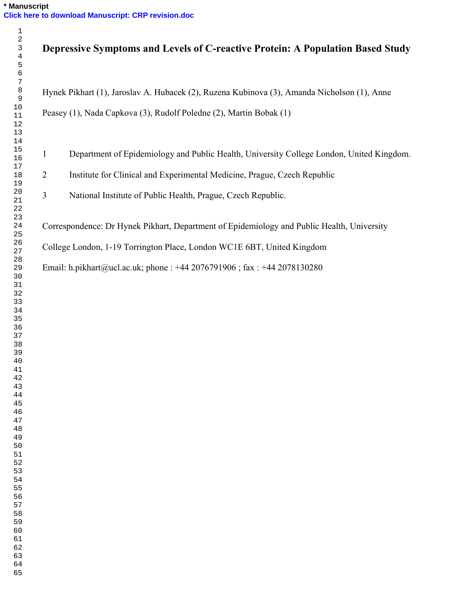|                | Depressive Symptoms and Levels of C-reactive Protein: A Population Based Study              |
|----------------|---------------------------------------------------------------------------------------------|
|                | Hynek Pikhart (1), Jaroslav A. Hubacek (2), Ruzena Kubinova (3), Amanda Nicholson (1), Anne |
|                | Peasey (1), Nada Capkova (3), Rudolf Poledne (2), Martin Bobak (1)                          |
| $\mathbf{1}$   | Department of Epidemiology and Public Health, University College London, United Kingdom.    |
| $\overline{2}$ | Institute for Clinical and Experimental Medicine, Prague, Czech Republic                    |
| 3              | National Institute of Public Health, Prague, Czech Republic.                                |
|                | Correspondence: Dr Hynek Pikhart, Department of Epidemiology and Public Health, University  |
|                | College London, 1-19 Torrington Place, London WC1E 6BT, United Kingdom                      |
|                |                                                                                             |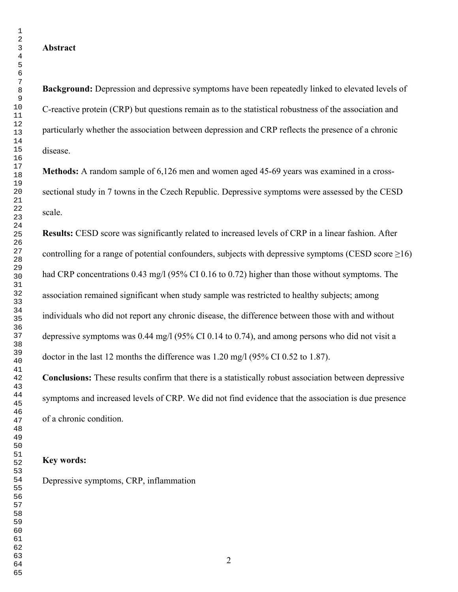#### **Abstract**

**Background:** Depression and depressive symptoms have been repeatedly linked to elevated levels of C-reactive protein (CRP) but questions remain as to the statistical robustness of the association and particularly whether the association between depression and CRP reflects the presence of a chronic disease.

**Methods:** A random sample of 6,126 men and women aged 45-69 years was examined in a crosssectional study in 7 towns in the Czech Republic. Depressive symptoms were assessed by the CESD scale.

**Results:** CESD score was significantly related to increased levels of CRP in a linear fashion. After controlling for a range of potential confounders, subjects with depressive symptoms (CESD score  $\geq 16$ ) had CRP concentrations 0.43 mg/l (95% CI 0.16 to 0.72) higher than those without symptoms. The association remained significant when study sample was restricted to healthy subjects; among individuals who did not report any chronic disease, the difference between those with and without depressive symptoms was 0.44 mg/l (95% CI 0.14 to 0.74), and among persons who did not visit a doctor in the last 12 months the difference was 1.20 mg/l (95% CI 0.52 to 1.87).

**Conclusions:** These results confirm that there is a statistically robust association between depressive symptoms and increased levels of CRP. We did not find evidence that the association is due presence of a chronic condition.

#### **Key words:**

Depressive symptoms, CRP, inflammation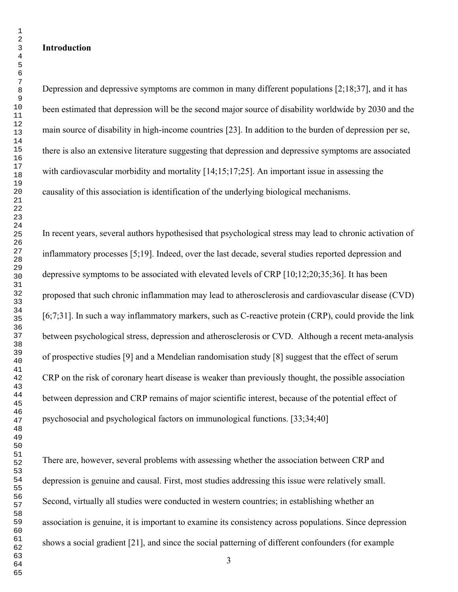#### **Introduction**

Depression and depressive symptoms are common in many different populations [2;18;37], and it has been estimated that depression will be the second major source of disability worldwide by 2030 and the main source of disability in high-income countries [23]. In addition to the burden of depression per se, there is also an extensive literature suggesting that depression and depressive symptoms are associated with cardiovascular morbidity and mortality [14;15;17;25]. An important issue in assessing the causality of this association is identification of the underlying biological mechanisms.

In recent years, several authors hypothesised that psychological stress may lead to chronic activation of inflammatory processes [5;19]. Indeed, over the last decade, several studies reported depression and depressive symptoms to be associated with elevated levels of CRP [10;12;20;35;36]. It has been proposed that such chronic inflammation may lead to atherosclerosis and cardiovascular disease (CVD) [6;7;31]. In such a way inflammatory markers, such as C-reactive protein (CRP), could provide the link between psychological stress, depression and atherosclerosis or CVD. Although a recent meta-analysis of prospective studies [9] and a Mendelian randomisation study [8] suggest that the effect of serum CRP on the risk of coronary heart disease is weaker than previously thought, the possible association between depression and CRP remains of major scientific interest, because of the potential effect of psychosocial and psychological factors on immunological functions. [33;34;40]

There are, however, several problems with assessing whether the association between CRP and depression is genuine and causal. First, most studies addressing this issue were relatively small. Second, virtually all studies were conducted in western countries; in establishing whether an association is genuine, it is important to examine its consistency across populations. Since depression shows a social gradient [21], and since the social patterning of different confounders (for example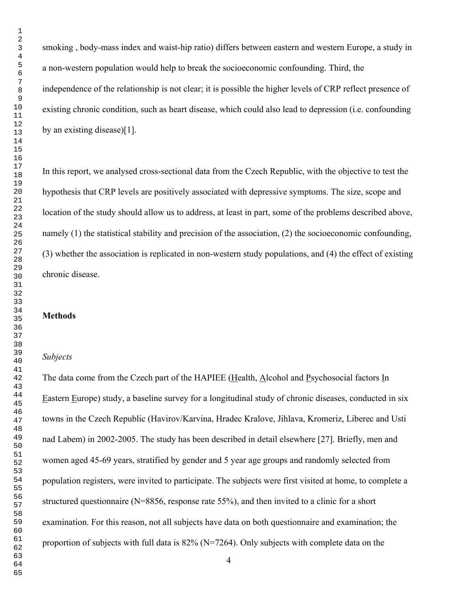smoking , body-mass index and waist-hip ratio) differs between eastern and western Europe, a study in a non-western population would help to break the socioeconomic confounding. Third, the independence of the relationship is not clear; it is possible the higher levels of CRP reflect presence of existing chronic condition, such as heart disease, which could also lead to depression (i.e. confounding by an existing disease)[1].

In this report, we analysed cross-sectional data from the Czech Republic, with the objective to test the hypothesis that CRP levels are positively associated with depressive symptoms. The size, scope and location of the study should allow us to address, at least in part, some of the problems described above, namely (1) the statistical stability and precision of the association, (2) the socioeconomic confounding, (3) whether the association is replicated in non-western study populations, and (4) the effect of existing chronic disease.

#### **Methods**

#### *Subjects*

The data come from the Czech part of the HAPIEE (Health, Alcohol and Psychosocial factors In Eastern Europe) study, a baseline survey for a longitudinal study of chronic diseases, conducted in six towns in the Czech Republic (Havirov/Karvina, Hradec Kralove, Jihlava, Kromeriz, Liberec and Usti nad Labem) in 2002-2005. The study has been described in detail elsewhere [27]. Briefly, men and women aged 45-69 years, stratified by gender and 5 year age groups and randomly selected from population registers, were invited to participate. The subjects were first visited at home, to complete a structured questionnaire (N=8856, response rate 55%), and then invited to a clinic for a short examination. For this reason, not all subjects have data on both questionnaire and examination; the proportion of subjects with full data is 82% (N=7264). Only subjects with complete data on the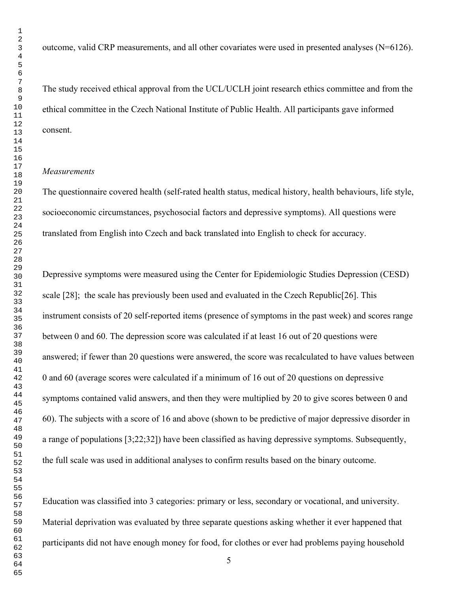outcome, valid CRP measurements, and all other covariates were used in presented analyses (N=6126).

The study received ethical approval from the UCL/UCLH joint research ethics committee and from the ethical committee in the Czech National Institute of Public Health. All participants gave informed consent.

#### *Measurements*

The questionnaire covered health (self-rated health status, medical history, health behaviours, life style, socioeconomic circumstances, psychosocial factors and depressive symptoms). All questions were translated from English into Czech and back translated into English to check for accuracy.

Depressive symptoms were measured using the Center for Epidemiologic Studies Depression (CESD) scale [28]; the scale has previously been used and evaluated in the Czech Republic[26]. This instrument consists of 20 self-reported items (presence of symptoms in the past week) and scores range between 0 and 60. The depression score was calculated if at least 16 out of 20 questions were answered; if fewer than 20 questions were answered, the score was recalculated to have values between 0 and 60 (average scores were calculated if a minimum of 16 out of 20 questions on depressive symptoms contained valid answers, and then they were multiplied by 20 to give scores between 0 and 60). The subjects with a score of 16 and above (shown to be predictive of major depressive disorder in a range of populations [3;22;32]) have been classified as having depressive symptoms. Subsequently, the full scale was used in additional analyses to confirm results based on the binary outcome.

Education was classified into 3 categories: primary or less, secondary or vocational, and university. Material deprivation was evaluated by three separate questions asking whether it ever happened that participants did not have enough money for food, for clothes or ever had problems paying household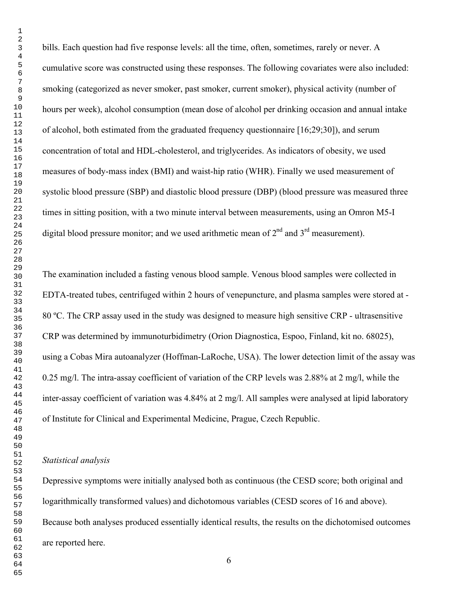bills. Each question had five response levels: all the time, often, sometimes, rarely or never. A cumulative score was constructed using these responses. The following covariates were also included: smoking (categorized as never smoker, past smoker, current smoker), physical activity (number of hours per week), alcohol consumption (mean dose of alcohol per drinking occasion and annual intake of alcohol, both estimated from the graduated frequency questionnaire [16;29;30]), and serum concentration of total and HDL-cholesterol, and triglycerides. As indicators of obesity, we used measures of body-mass index (BMI) and waist-hip ratio (WHR). Finally we used measurement of systolic blood pressure (SBP) and diastolic blood pressure (DBP) (blood pressure was measured three times in sitting position, with a two minute interval between measurements, using an Omron M5-I digital blood pressure monitor; and we used arithmetic mean of  $2<sup>nd</sup>$  and  $3<sup>rd</sup>$  measurement).

The examination included a fasting venous blood sample. Venous blood samples were collected in EDTA-treated tubes, centrifuged within 2 hours of venepuncture, and plasma samples were stored at - 80 ºC. The CRP assay used in the study was designed to measure high sensitive CRP - ultrasensitive CRP was determined by immunoturbidimetry (Orion Diagnostica, Espoo, Finland, kit no. 68025), using a Cobas Mira autoanalyzer (Hoffman-LaRoche, USA). The lower detection limit of the assay was 0.25 mg/l. The intra-assay coefficient of variation of the CRP levels was 2.88% at 2 mg/l, while the inter-assay coefficient of variation was 4.84% at 2 mg/l. All samples were analysed at lipid laboratory of Institute for Clinical and Experimental Medicine, Prague, Czech Republic.

#### *Statistical analysis*

Depressive symptoms were initially analysed both as continuous (the CESD score; both original and logarithmically transformed values) and dichotomous variables (CESD scores of 16 and above). Because both analyses produced essentially identical results, the results on the dichotomised outcomes are reported here.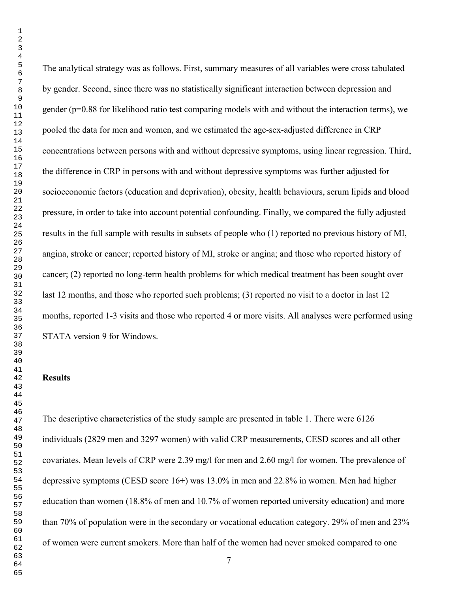The analytical strategy was as follows. First, summary measures of all variables were cross tabulated by gender. Second, since there was no statistically significant interaction between depression and gender (p=0.88 for likelihood ratio test comparing models with and without the interaction terms), we pooled the data for men and women, and we estimated the age-sex-adjusted difference in CRP concentrations between persons with and without depressive symptoms, using linear regression. Third, the difference in CRP in persons with and without depressive symptoms was further adjusted for socioeconomic factors (education and deprivation), obesity, health behaviours, serum lipids and blood pressure, in order to take into account potential confounding. Finally, we compared the fully adjusted results in the full sample with results in subsets of people who (1) reported no previous history of MI, angina, stroke or cancer; reported history of MI, stroke or angina; and those who reported history of cancer; (2) reported no long-term health problems for which medical treatment has been sought over last 12 months, and those who reported such problems; (3) reported no visit to a doctor in last 12 months, reported 1-3 visits and those who reported 4 or more visits. All analyses were performed using STATA version 9 for Windows.

#### **Results**

The descriptive characteristics of the study sample are presented in table 1. There were 6126 individuals (2829 men and 3297 women) with valid CRP measurements, CESD scores and all other covariates. Mean levels of CRP were 2.39 mg/l for men and 2.60 mg/l for women. The prevalence of depressive symptoms (CESD score 16+) was 13.0% in men and 22.8% in women. Men had higher education than women (18.8% of men and 10.7% of women reported university education) and more than 70% of population were in the secondary or vocational education category. 29% of men and 23% of women were current smokers. More than half of the women had never smoked compared to one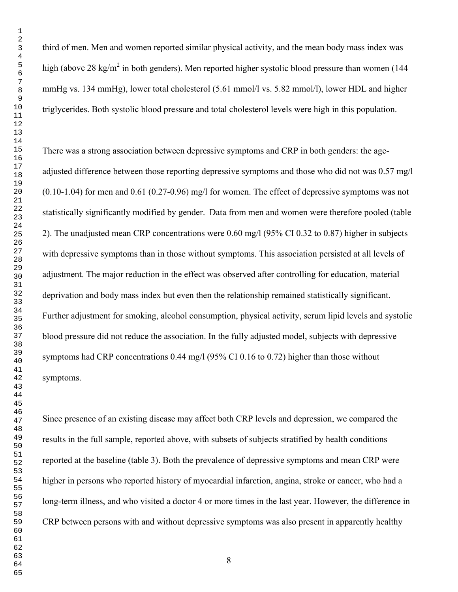third of men. Men and women reported similar physical activity, and the mean body mass index was high (above 28 kg/m<sup>2</sup> in both genders). Men reported higher systolic blood pressure than women (144 mmHg vs. 134 mmHg), lower total cholesterol (5.61 mmol/l vs. 5.82 mmol/l), lower HDL and higher triglycerides. Both systolic blood pressure and total cholesterol levels were high in this population.

There was a strong association between depressive symptoms and CRP in both genders: the ageadjusted difference between those reporting depressive symptoms and those who did not was 0.57 mg/l (0.10-1.04) for men and 0.61 (0.27-0.96) mg/l for women. The effect of depressive symptoms was not statistically significantly modified by gender. Data from men and women were therefore pooled (table 2). The unadjusted mean CRP concentrations were 0.60 mg/l (95% CI 0.32 to 0.87) higher in subjects with depressive symptoms than in those without symptoms. This association persisted at all levels of adjustment. The major reduction in the effect was observed after controlling for education, material deprivation and body mass index but even then the relationship remained statistically significant. Further adjustment for smoking, alcohol consumption, physical activity, serum lipid levels and systolic blood pressure did not reduce the association. In the fully adjusted model, subjects with depressive symptoms had CRP concentrations 0.44 mg/l (95% CI 0.16 to 0.72) higher than those without symptoms.

Since presence of an existing disease may affect both CRP levels and depression, we compared the results in the full sample, reported above, with subsets of subjects stratified by health conditions reported at the baseline (table 3). Both the prevalence of depressive symptoms and mean CRP were higher in persons who reported history of myocardial infarction, angina, stroke or cancer, who had a long-term illness, and who visited a doctor 4 or more times in the last year. However, the difference in CRP between persons with and without depressive symptoms was also present in apparently healthy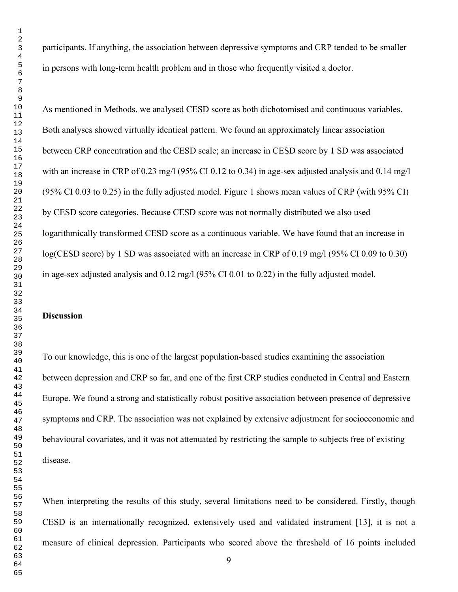participants. If anything, the association between depressive symptoms and CRP tended to be smaller in persons with long-term health problem and in those who frequently visited a doctor.

As mentioned in Methods, we analysed CESD score as both dichotomised and continuous variables. Both analyses showed virtually identical pattern. We found an approximately linear association between CRP concentration and the CESD scale; an increase in CESD score by 1 SD was associated with an increase in CRP of 0.23 mg/l (95% CI 0.12 to 0.34) in age-sex adjusted analysis and 0.14 mg/l (95% CI 0.03 to 0.25) in the fully adjusted model. Figure 1 shows mean values of CRP (with 95% CI) by CESD score categories. Because CESD score was not normally distributed we also used logarithmically transformed CESD score as a continuous variable. We have found that an increase in log(CESD score) by 1 SD was associated with an increase in CRP of 0.19 mg/l (95% CI 0.09 to 0.30) in age-sex adjusted analysis and 0.12 mg/l (95% CI 0.01 to 0.22) in the fully adjusted model.

### **Discussion**

To our knowledge, this is one of the largest population-based studies examining the association between depression and CRP so far, and one of the first CRP studies conducted in Central and Eastern Europe. We found a strong and statistically robust positive association between presence of depressive symptoms and CRP. The association was not explained by extensive adjustment for socioeconomic and behavioural covariates, and it was not attenuated by restricting the sample to subjects free of existing disease.

When interpreting the results of this study, several limitations need to be considered. Firstly, though CESD is an internationally recognized, extensively used and validated instrument [13], it is not a measure of clinical depression. Participants who scored above the threshold of 16 points included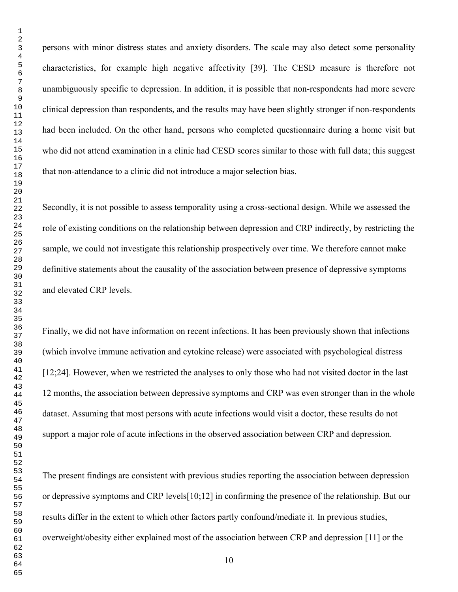persons with minor distress states and anxiety disorders. The scale may also detect some personality characteristics, for example high negative affectivity [39]. The CESD measure is therefore not unambiguously specific to depression. In addition, it is possible that non-respondents had more severe clinical depression than respondents, and the results may have been slightly stronger if non-respondents had been included. On the other hand, persons who completed questionnaire during a home visit but who did not attend examination in a clinic had CESD scores similar to those with full data; this suggest that non-attendance to a clinic did not introduce a major selection bias.

Secondly, it is not possible to assess temporality using a cross-sectional design. While we assessed the role of existing conditions on the relationship between depression and CRP indirectly, by restricting the sample, we could not investigate this relationship prospectively over time. We therefore cannot make definitive statements about the causality of the association between presence of depressive symptoms and elevated CRP levels.

Finally, we did not have information on recent infections. It has been previously shown that infections (which involve immune activation and cytokine release) were associated with psychological distress [12;24]. However, when we restricted the analyses to only those who had not visited doctor in the last 12 months, the association between depressive symptoms and CRP was even stronger than in the whole dataset. Assuming that most persons with acute infections would visit a doctor, these results do not support a major role of acute infections in the observed association between CRP and depression.

The present findings are consistent with previous studies reporting the association between depression or depressive symptoms and CRP levels[10;12] in confirming the presence of the relationship. But our results differ in the extent to which other factors partly confound/mediate it. In previous studies, overweight/obesity either explained most of the association between CRP and depression [11] or the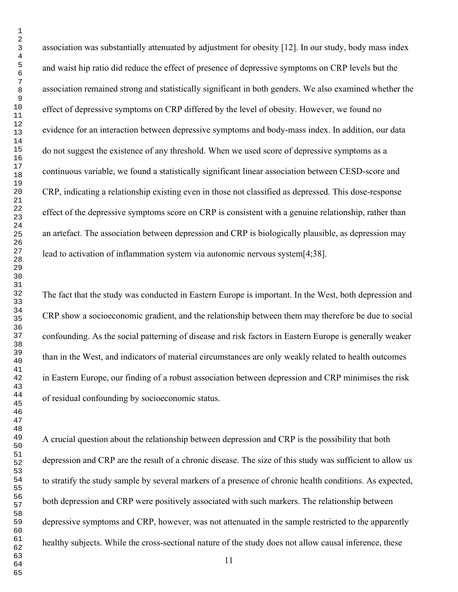association was substantially attenuated by adjustment for obesity [12]. In our study, body mass index and waist hip ratio did reduce the effect of presence of depressive symptoms on CRP levels but the association remained strong and statistically significant in both genders. We also examined whether the effect of depressive symptoms on CRP differed by the level of obesity. However, we found no evidence for an interaction between depressive symptoms and body-mass index. In addition, our data do not suggest the existence of any threshold. When we used score of depressive symptoms as a continuous variable, we found a statistically significant linear association between CESD-score and CRP, indicating a relationship existing even in those not classified as depressed. This dose-response effect of the depressive symptoms score on CRP is consistent with a genuine relationship, rather than an artefact. The association between depression and CRP is biologically plausible, as depression may lead to activation of inflammation system via autonomic nervous system[4;38].

The fact that the study was conducted in Eastern Europe is important. In the West, both depression and CRP show a socioeconomic gradient, and the relationship between them may therefore be due to social confounding. As the social patterning of disease and risk factors in Eastern Europe is generally weaker than in the West, and indicators of material circumstances are only weakly related to health outcomes in Eastern Europe, our finding of a robust association between depression and CRP minimises the risk of residual confounding by socioeconomic status.

A crucial question about the relationship between depression and CRP is the possibility that both depression and CRP are the result of a chronic disease. The size of this study was sufficient to allow us to stratify the study sample by several markers of a presence of chronic health conditions. As expected, both depression and CRP were positively associated with such markers. The relationship between depressive symptoms and CRP, however, was not attenuated in the sample restricted to the apparently healthy subjects. While the cross-sectional nature of the study does not allow causal inference, these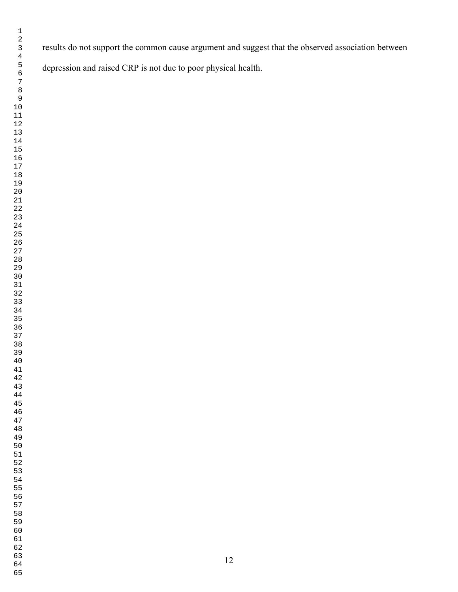results do not support the common cause argument and suggest that the observed association between

depression and raised CRP is not due to poor physical health.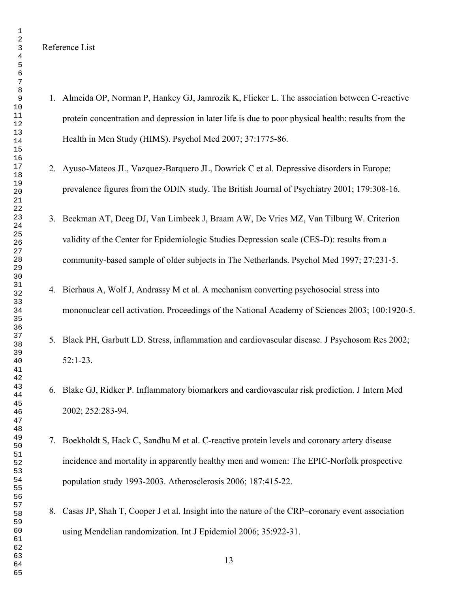Reference List

- 1. Almeida OP, Norman P, Hankey GJ, Jamrozik K, Flicker L. The association between C-reactive protein concentration and depression in later life is due to poor physical health: results from the Health in Men Study (HIMS). Psychol Med 2007; 37:1775-86.
- 2. Ayuso-Mateos JL, Vazquez-Barquero JL, Dowrick C et al. Depressive disorders in Europe: prevalence figures from the ODIN study. The British Journal of Psychiatry 2001; 179:308-16.
- 3. Beekman AT, Deeg DJ, Van Limbeek J, Braam AW, De Vries MZ, Van Tilburg W. Criterion validity of the Center for Epidemiologic Studies Depression scale (CES-D): results from a community-based sample of older subjects in The Netherlands. Psychol Med 1997; 27:231-5.
- 4. Bierhaus A, Wolf J, Andrassy M et al. A mechanism converting psychosocial stress into mononuclear cell activation. Proceedings of the National Academy of Sciences 2003; 100:1920-5.
- 5. Black PH, Garbutt LD. Stress, inflammation and cardiovascular disease. J Psychosom Res 2002; 52:1-23.
- 6. Blake GJ, Ridker P. Inflammatory biomarkers and cardiovascular risk prediction. J Intern Med 2002; 252:283-94.
- 7. Boekholdt S, Hack C, Sandhu M et al. C-reactive protein levels and coronary artery disease incidence and mortality in apparently healthy men and women: The EPIC-Norfolk prospective population study 1993-2003. Atherosclerosis 2006; 187:415-22.
- 8. Casas JP, Shah T, Cooper J et al. Insight into the nature of the CRP–coronary event association using Mendelian randomization. Int J Epidemiol 2006; 35:922-31.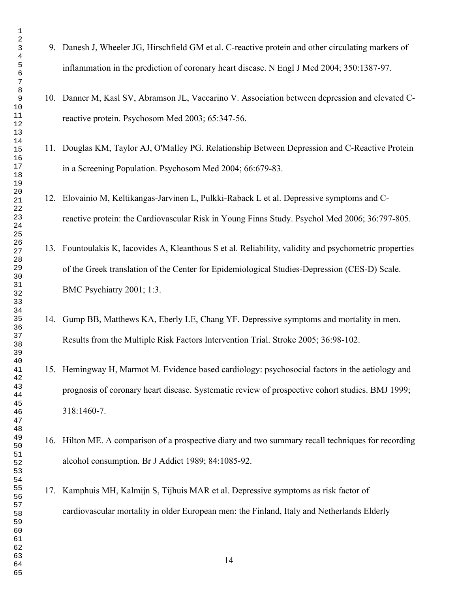- 9. Danesh J, Wheeler JG, Hirschfield GM et al. C-reactive protein and other circulating markers of inflammation in the prediction of coronary heart disease. N Engl J Med 2004; 350:1387-97.
- 10. Danner M, Kasl SV, Abramson JL, Vaccarino V. Association between depression and elevated Creactive protein. Psychosom Med 2003; 65:347-56.
- 11. Douglas KM, Taylor AJ, O'Malley PG. Relationship Between Depression and C-Reactive Protein in a Screening Population. Psychosom Med 2004; 66:679-83.
- 12. Elovainio M, Keltikangas-Jarvinen L, Pulkki-Raback L et al. Depressive symptoms and Creactive protein: the Cardiovascular Risk in Young Finns Study. Psychol Med 2006; 36:797-805.
- 13. Fountoulakis K, Iacovides A, Kleanthous S et al. Reliability, validity and psychometric properties of the Greek translation of the Center for Epidemiological Studies-Depression (CES-D) Scale. BMC Psychiatry 2001; 1:3.
- 14. Gump BB, Matthews KA, Eberly LE, Chang YF. Depressive symptoms and mortality in men. Results from the Multiple Risk Factors Intervention Trial. Stroke 2005; 36:98-102.
- 15. Hemingway H, Marmot M. Evidence based cardiology: psychosocial factors in the aetiology and prognosis of coronary heart disease. Systematic review of prospective cohort studies. BMJ 1999; 318:1460-7.
- 16. Hilton ME. A comparison of a prospective diary and two summary recall techniques for recording alcohol consumption. Br J Addict 1989; 84:1085-92.
- 17. Kamphuis MH, Kalmijn S, Tijhuis MAR et al. Depressive symptoms as risk factor of cardiovascular mortality in older European men: the Finland, Italy and Netherlands Elderly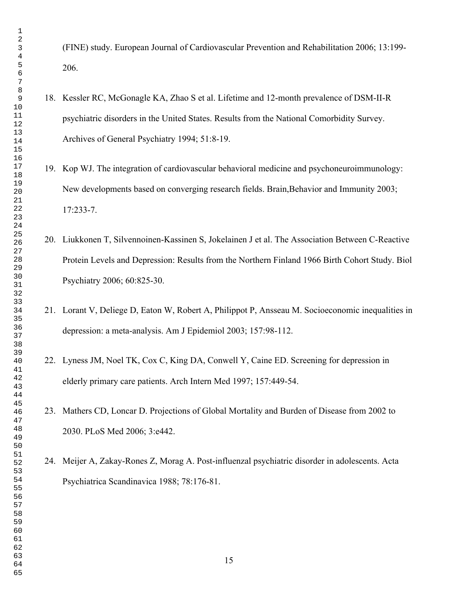(FINE) study. European Journal of Cardiovascular Prevention and Rehabilitation 2006; 13:199- 206.

- 18. Kessler RC, McGonagle KA, Zhao S et al. Lifetime and 12-month prevalence of DSM-II-R psychiatric disorders in the United States. Results from the National Comorbidity Survey. Archives of General Psychiatry 1994; 51:8-19.
- 19. Kop WJ. The integration of cardiovascular behavioral medicine and psychoneuroimmunology: New developments based on converging research fields. Brain,Behavior and Immunity 2003; 17:233-7.
- 20. Liukkonen T, Silvennoinen-Kassinen S, Jokelainen J et al. The Association Between C-Reactive Protein Levels and Depression: Results from the Northern Finland 1966 Birth Cohort Study. Biol Psychiatry 2006; 60:825-30.
- 21. Lorant V, Deliege D, Eaton W, Robert A, Philippot P, Ansseau M. Socioeconomic inequalities in depression: a meta-analysis. Am J Epidemiol 2003; 157:98-112.
- 22. Lyness JM, Noel TK, Cox C, King DA, Conwell Y, Caine ED. Screening for depression in elderly primary care patients. Arch Intern Med 1997; 157:449-54.
- 23. Mathers CD, Loncar D. Projections of Global Mortality and Burden of Disease from 2002 to 2030. PLoS Med 2006; 3:e442.

24. Meijer A, Zakay-Rones Z, Morag A. Post-influenzal psychiatric disorder in adolescents. Acta Psychiatrica Scandinavica 1988; 78:176-81.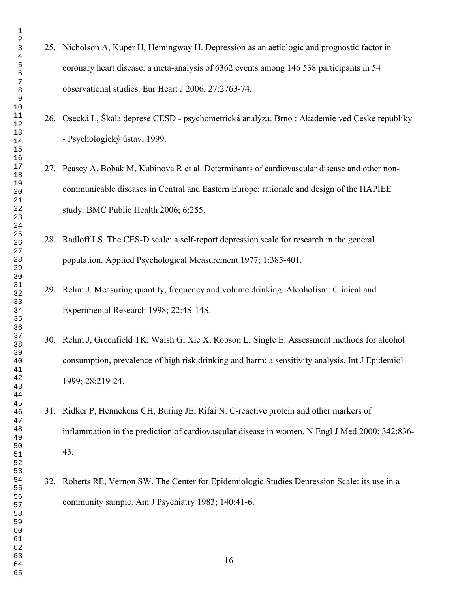- 25. Nicholson A, Kuper H, Hemingway H. Depression as an aetiologic and prognostic factor in coronary heart disease: a meta-analysis of 6362 events among 146 538 participants in 54 observational studies. Eur Heart J 2006; 27:2763-74. 26. Osecká L, Škála deprese CESD - psychometrická analýza. Brno : Akademie ved Ceské republiky - Psychologický ústav, 1999. 27. Peasey A, Bobak M, Kubinova R et al. Determinants of cardiovascular disease and other noncommunicable diseases in Central and Eastern Europe: rationale and design of the HAPIEE study. BMC Public Health 2006; 6:255. 28. Radloff LS. The CES-D scale: a self-report depression scale for research in the general population. Applied Psychological Measurement 1977; 1:385-401. 29. Rehm J. Measuring quantity, frequency and volume drinking. Alcoholism: Clinical and Experimental Research 1998; 22:4S-14S. 30. Rehm J, Greenfield TK, Walsh G, Xie X, Robson L, Single E. Assessment methods for alcohol consumption, prevalence of high risk drinking and harm: a sensitivity analysis. Int J Epidemiol 1999; 28:219-24. 31. Ridker P, Hennekens CH, Buring JE, Rifai N. C-reactive protein and other markers of inflammation in the prediction of cardiovascular disease in women. N Engl J Med 2000; 342:836- 43. 32. Roberts RE, Vernon SW. The Center for Epidemiologic Studies Depression Scale: its use in a community sample. Am J Psychiatry 1983; 140:41-6.
	-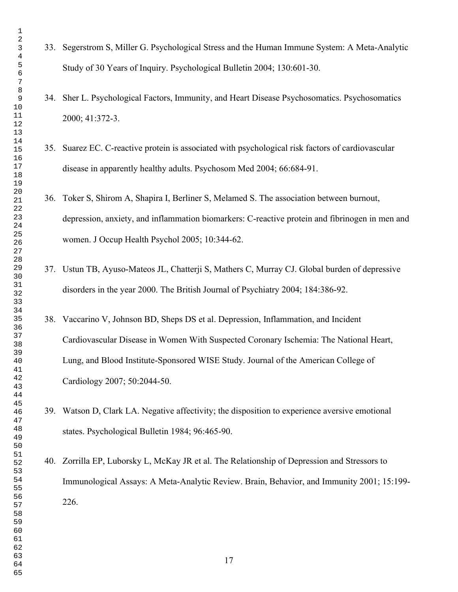- 33. Segerstrom S, Miller G. Psychological Stress and the Human Immune System: A Meta-Analytic Study of 30 Years of Inquiry. Psychological Bulletin 2004; 130:601-30.
- 34. Sher L. Psychological Factors, Immunity, and Heart Disease Psychosomatics. Psychosomatics 2000; 41:372-3.
- 35. Suarez EC. C-reactive protein is associated with psychological risk factors of cardiovascular disease in apparently healthy adults. Psychosom Med 2004; 66:684-91.
- 36. Toker S, Shirom A, Shapira I, Berliner S, Melamed S. The association between burnout, depression, anxiety, and inflammation biomarkers: C-reactive protein and fibrinogen in men and women. J Occup Health Psychol 2005; 10:344-62.
- 37. Ustun TB, Ayuso-Mateos JL, Chatterji S, Mathers C, Murray CJ. Global burden of depressive disorders in the year 2000. The British Journal of Psychiatry 2004; 184:386-92.
- 38. Vaccarino V, Johnson BD, Sheps DS et al. Depression, Inflammation, and Incident Cardiovascular Disease in Women With Suspected Coronary Ischemia: The National Heart, Lung, and Blood Institute-Sponsored WISE Study. Journal of the American College of Cardiology 2007; 50:2044-50.
- 39. Watson D, Clark LA. Negative affectivity; the disposition to experience aversive emotional states. Psychological Bulletin 1984; 96:465-90.

40. Zorrilla EP, Luborsky L, McKay JR et al. The Relationship of Depression and Stressors to Immunological Assays: A Meta-Analytic Review. Brain, Behavior, and Immunity 2001; 15:199- 226.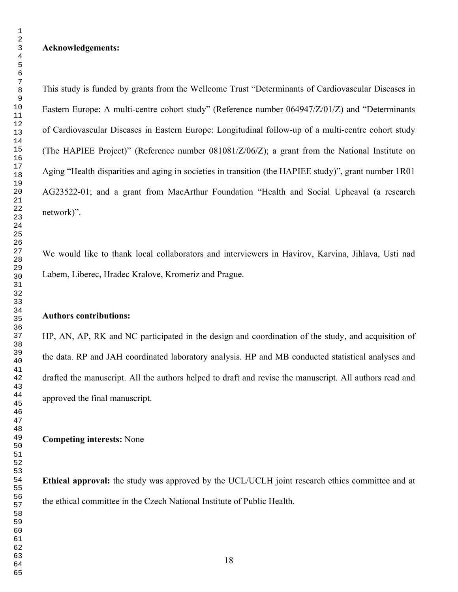#### **Acknowledgements:**

This study is funded by grants from the Wellcome Trust "Determinants of Cardiovascular Diseases in Eastern Europe: A multi-centre cohort study" (Reference number 064947/Z/01/Z) and "Determinants of Cardiovascular Diseases in Eastern Europe: Longitudinal follow-up of a multi-centre cohort study (The HAPIEE Project)" (Reference number 081081/Z/06/Z); a grant from the National Institute on Aging "Health disparities and aging in societies in transition (the HAPIEE study)", grant number 1R01 AG23522-01; and a grant from MacArthur Foundation "Health and Social Upheaval (a research network)".

We would like to thank local collaborators and interviewers in Havirov, Karvina, Jihlava, Usti nad Labem, Liberec, Hradec Kralove, Kromeriz and Prague.

#### **Authors contributions:**

HP, AN, AP, RK and NC participated in the design and coordination of the study, and acquisition of the data. RP and JAH coordinated laboratory analysis. HP and MB conducted statistical analyses and drafted the manuscript. All the authors helped to draft and revise the manuscript. All authors read and approved the final manuscript.

**Competing interests:** None

**Ethical approval:** the study was approved by the UCL/UCLH joint research ethics committee and at the ethical committee in the Czech National Institute of Public Health.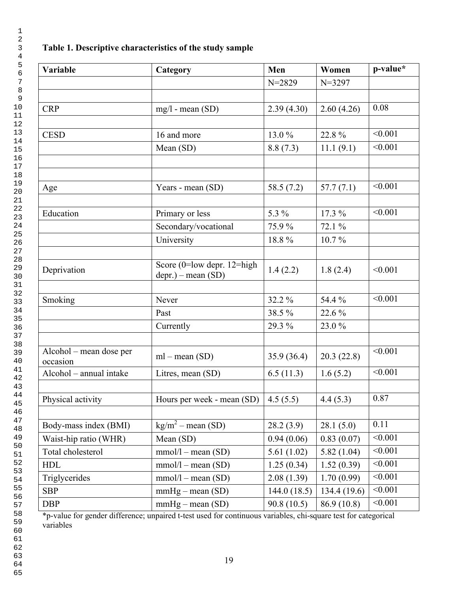# **Table 1. Descriptive characteristics of the study sample**

| <b>Variable</b>                     | Category                               | Men          | Women        | p-value* |
|-------------------------------------|----------------------------------------|--------------|--------------|----------|
|                                     |                                        | $N = 2829$   | $N = 3297$   |          |
|                                     |                                        |              |              |          |
| <b>CRP</b>                          | $mg/l$ - mean (SD)                     | 2.39(4.30)   | 2.60(4.26)   | 0.08     |
|                                     |                                        |              |              |          |
| <b>CESD</b>                         | 16 and more                            | 13.0%        | 22.8%        | < 0.001  |
|                                     | Mean (SD)                              | 8.8(7.3)     | 11.1(9.1)    | < 0.001  |
|                                     |                                        |              |              |          |
|                                     |                                        |              |              |          |
| Age                                 | Years - mean (SD)                      | 58.5 (7.2)   | 57.7(7.1)    | < 0.001  |
|                                     |                                        |              |              |          |
| Education                           | Primary or less                        | 5.3 %        | $17.3\%$     | < 0.001  |
|                                     | Secondary/vocational                   | 75.9%        | 72.1 %       |          |
|                                     | University                             | 18.8%        | $10.7\%$     |          |
|                                     |                                        |              |              |          |
| Deprivation                         | Score ( $0$ =low depr. 12=high         | 1.4(2.2)     | 1.8(2.4)     | < 0.001  |
|                                     | $depr.)$ – mean $(SD)$                 |              |              |          |
|                                     |                                        |              |              | < 0.001  |
| Smoking                             | Never                                  | 32.2 %       | 54.4 %       |          |
|                                     | Past                                   | 38.5%        | 22.6 %       |          |
|                                     | Currently                              | 29.3 %       | 23.0%        |          |
|                                     |                                        |              |              |          |
| Alcohol – mean dose per<br>occasion | $ml - mean (SD)$                       | 35.9(36.4)   | 20.3(22.8)   | < 0.001  |
| Alcohol - annual intake             | Litres, mean (SD)                      | 6.5(11.3)    | 1.6(5.2)     | < 0.001  |
|                                     |                                        |              |              |          |
| Physical activity                   | Hours per week - mean (SD)             | 4.5(5.5)     | 4.4(5.3)     | 0.87     |
|                                     |                                        |              |              |          |
| Body-mass index (BMI)               | $\overline{\text{kg/m}^2}$ – mean (SD) | 28.2(3.9)    | 28.1(5.0)    | 0.11     |
| Waist-hip ratio (WHR)               | Mean (SD)                              | 0.94(0.06)   | 0.83(0.07)   | < 0.001  |
| Total cholesterol                   | $mmol/l - mean (SD)$                   | 5.61(1.02)   | 5.82(1.04)   | < 0.001  |
| <b>HDL</b>                          | $mmol/l - mean (SD)$                   | 1.25(0.34)   | 1.52(0.39)   | < 0.001  |
| Triglycerides                       | $mmol/l - mean (SD)$                   | 2.08(1.39)   | 1.70(0.99)   | < 0.001  |
| <b>SBP</b>                          | $mmHg - mean (SD)$                     | 144.0 (18.5) | 134.4 (19.6) | < 0.001  |
| <b>DBP</b>                          | $mmHg - mean (SD)$                     | 90.8(10.5)   | 86.9 (10.8)  | < 0.001  |

\*p-value for gender difference; unpaired t-test used for continuous variables, chi-square test for categorical variables

 

- 
-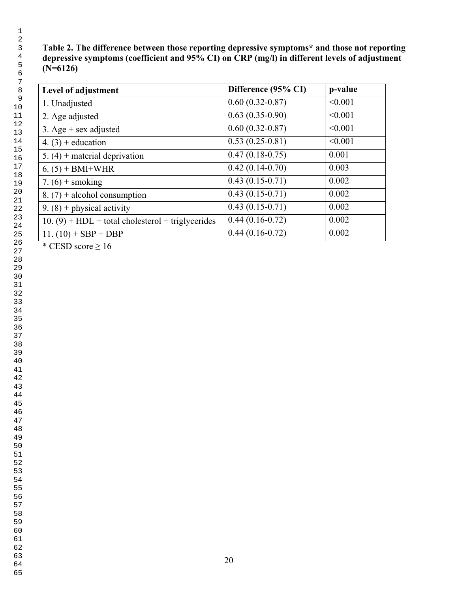## **Table 2. The difference between those reporting depressive symptoms\* and those not reporting depressive symptoms (coefficient and 95% CI) on CRP (mg/l) in different levels of adjustment (N=6126)**

| Level of adjustment                                 | Difference (95% CI) | p-value |
|-----------------------------------------------------|---------------------|---------|
| 1. Unadjusted                                       | $0.60(0.32 - 0.87)$ | < 0.001 |
| 2. Age adjusted                                     | $0.63(0.35-0.90)$   | < 0.001 |
| 3. Age $+$ sex adjusted                             | $0.60(0.32 - 0.87)$ | < 0.001 |
| 4. $(3)$ + education                                | $0.53(0.25-0.81)$   | < 0.001 |
| 5. $(4)$ + material deprivation                     | $0.47(0.18-0.75)$   | 0.001   |
| $6. (5) + BMI+WHR$                                  | $0.42(0.14-0.70)$   | 0.003   |
| 7. $(6)$ + smoking                                  | $0.43(0.15-0.71)$   | 0.002   |
| 8. $(7)$ + alcohol consumption                      | $0.43(0.15-0.71)$   | 0.002   |
| 9. $(8)$ + physical activity                        | $0.43(0.15-0.71)$   | 0.002   |
| $10. (9) + HDL + total cholesterol + triglycerides$ | $0.44(0.16-0.72)$   | 0.002   |
| 11. $(10) + SBP + DBP$                              | $0.44(0.16-0.72)$   | 0.002   |

\* CESD score  $\geq 16$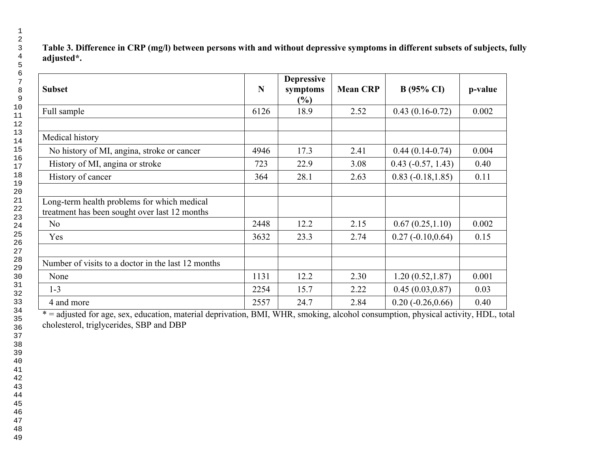| Table 3. Difference in CRP (mg/l) between persons with and without depressive symptoms in different subsets of subjects, fully |  |  |
|--------------------------------------------------------------------------------------------------------------------------------|--|--|
| adjusted*.                                                                                                                     |  |  |

| <b>Subset</b>                                                                                | N    | <b>Depressive</b><br>symptoms<br>$\frac{6}{6}$ | <b>Mean CRP</b> | $B(95\% \text{ CI})$ | p-value |
|----------------------------------------------------------------------------------------------|------|------------------------------------------------|-----------------|----------------------|---------|
| Full sample                                                                                  | 6126 | 18.9                                           | 2.52            | $0.43(0.16-0.72)$    | 0.002   |
| Medical history                                                                              |      |                                                |                 |                      |         |
| No history of MI, angina, stroke or cancer                                                   | 4946 | 17.3                                           | 2.41            | $0.44(0.14-0.74)$    | 0.004   |
| History of MI, angina or stroke                                                              | 723  | 22.9                                           | 3.08            | $0.43 (-0.57, 1.43)$ | 0.40    |
| History of cancer                                                                            | 364  | 28.1                                           | 2.63            | $0.83(-0.18, 1.85)$  | 0.11    |
| Long-term health problems for which medical<br>treatment has been sought over last 12 months |      |                                                |                 |                      |         |
| N <sub>o</sub>                                                                               | 2448 | 12.2                                           | 2.15            | 0.67(0.25, 1.10)     | 0.002   |
| Yes                                                                                          | 3632 | 23.3                                           | 2.74            | $0.27(-0.10, 0.64)$  | 0.15    |
| Number of visits to a doctor in the last 12 months                                           |      |                                                |                 |                      |         |
| None                                                                                         | 1131 | 12.2                                           | 2.30            | 1.20(0.52, 1.87)     | 0.001   |
| $1 - 3$                                                                                      | 2254 | 15.7                                           | 2.22            | 0.45(0.03, 0.87)     | 0.03    |
| 4 and more                                                                                   | 2557 | 24.7                                           | 2.84            | $0.20(-0.26, 0.66)$  | 0.40    |

\* = adjusted for age, sex, education, material deprivation, BMI, WHR, smoking, alcohol consumption, physical activity, HDL, total cholesterol, triglycerides, SBP and DBP